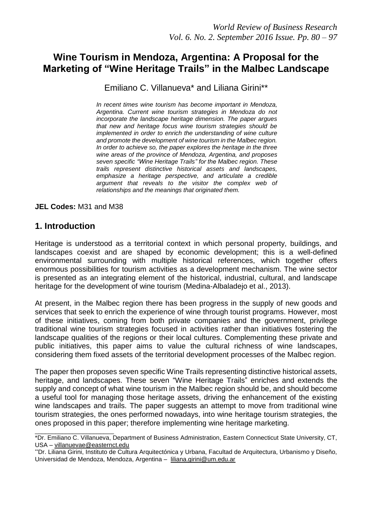# **Wine Tourism in Mendoza, Argentina: A Proposal for the Marketing of "Wine Heritage Trails" in the Malbec Landscape**

Emiliano C. Villanueva\* and Liliana Girini\*\*

*In recent times wine tourism has become important in Mendoza, Argentina. Current wine tourism strategies in Mendoza do not incorporate the landscape heritage dimension. The paper argues that new and heritage focus wine tourism strategies should be implemented in order to enrich the understanding of wine culture and promote the development of wine tourism in the Malbec region. In order to achieve so, the paper explores the heritage in the three wine areas of the province of Mendoza, Argentina, and proposes seven specific "Wine Heritage Trails" for the Malbec region. These trails represent distinctive historical assets and landscapes, emphasize a heritage perspective, and articulate a credible argument that reveals to the visitor the complex web of relationships and the meanings that originated them.* 

**JEL Codes:** M31 and M38

### **1. Introduction**

\_\_\_\_\_\_\_\_\_\_\_\_\_\_\_\_\_\_\_\_\_\_\_

Heritage is understood as a territorial context in which personal property, buildings, and landscapes coexist and are shaped by economic development; this is a well-defined environmental surrounding with multiple historical references, which together offers enormous possibilities for tourism activities as a development mechanism. The wine sector is presented as an integrating element of the historical, industrial, cultural, and landscape heritage for the development of wine tourism (Medina-Albaladejo et al., 2013).

At present, in the Malbec region there has been progress in the supply of new goods and services that seek to enrich the experience of wine through tourist programs. However, most of these initiatives, coming from both private companies and the government, privilege traditional wine tourism strategies focused in activities rather than initiatives fostering the landscape qualities of the regions or their local cultures. Complementing these private and public initiatives, this paper aims to value the cultural richness of wine landscapes, considering them fixed assets of the territorial development processes of the Malbec region.

The paper then proposes seven specific Wine Trails representing distinctive historical assets, heritage, and landscapes. These seven "Wine Heritage Trails" enriches and extends the supply and concept of what wine tourism in the Malbec region should be, and should become a useful tool for managing those heritage assets, driving the enhancement of the existing wine landscapes and trails. The paper suggests an attempt to move from traditional wine tourism strategies, the ones performed nowadays, into wine heritage tourism strategies, the ones proposed in this paper; therefore implementing wine heritage marketing.

<sup>\*</sup>Dr. Emiliano C. Villanueva, Department of Business Administration, Eastern Connecticut State University, CT, USA – [villanuevae@easternct.edu](mailto:villanuevae@easternct.edu)

<sup>\*\*</sup>Dr. Liliana Girini, Instituto de Cultura Arquitectónica y Urbana, Facultad de Arquitectura, Urbanismo y Diseño, Universidad de Mendoza, Mendoza, Argentina - liliana.girini@um.edu.ar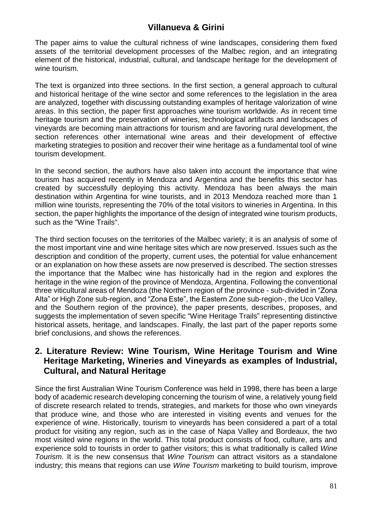The paper aims to value the cultural richness of wine landscapes, considering them fixed assets of the territorial development processes of the Malbec region, and an integrating element of the historical, industrial, cultural, and landscape heritage for the development of wine tourism.

The text is organized into three sections. In the first section, a general approach to cultural and historical heritage of the wine sector and some references to the legislation in the area are analyzed, together with discussing outstanding examples of heritage valorization of wine areas. In this section, the paper first approaches wine tourism worldwide. As in recent time heritage tourism and the preservation of wineries, technological artifacts and landscapes of vineyards are becoming main attractions for tourism and are favoring rural development, the section references other international wine areas and their development of effective marketing strategies to position and recover their wine heritage as a fundamental tool of wine tourism development.

In the second section, the authors have also taken into account the importance that wine tourism has acquired recently in Mendoza and Argentina and the benefits this sector has created by successfully deploying this activity. Mendoza has been always the main destination within Argentina for wine tourists, and in 2013 Mendoza reached more than 1 million wine tourists, representing the 70% of the total visitors to wineries in Argentina. In this section, the paper highlights the importance of the design of integrated wine tourism products, such as the "Wine Trails".

The third section focuses on the territories of the Malbec variety; it is an analysis of some of the most important vine and wine heritage sites which are now preserved. Issues such as the description and condition of the property, current uses, the potential for value enhancement or an explanation on how these assets are now preserved is described. The section stresses the importance that the Malbec wine has historically had in the region and explores the heritage in the wine region of the province of Mendoza, Argentina. Following the conventional three viticultural areas of Mendoza (the Northern region of the province - sub-divided in "Zona Alta" or High Zone sub-region, and "Zona Este", the Eastern Zone sub-region-, the Uco Valley, and the Southern region of the province), the paper presents, describes, proposes, and suggests the implementation of seven specific "Wine Heritage Trails" representing distinctive historical assets, heritage, and landscapes. Finally, the last part of the paper reports some brief conclusions, and shows the references.

### **2. Literature Review: Wine Tourism, Wine Heritage Tourism and Wine Heritage Marketing, Wineries and Vineyards as examples of Industrial, Cultural, and Natural Heritage**

Since the first Australian Wine Tourism Conference was held in 1998, there has been a large body of academic research developing concerning the tourism of wine, a relatively young field of discrete research related to trends, strategies, and markets for those who own vineyards that produce wine, and those who are interested in visiting events and venues for the experience of wine. Historically, tourism to vineyards has been considered a part of a total product for visiting any region, such as in the case of Napa Valley and Bordeaux, the two most visited wine regions in the world. This total product consists of food, culture, arts and experience sold to tourists in order to gather visitors; this is what traditionally is called *Wine Tourism*. It is the new consensus that *Wine Tourism* can attract visitors as a standalone industry; this means that regions can use *Wine Tourism* marketing to build tourism, improve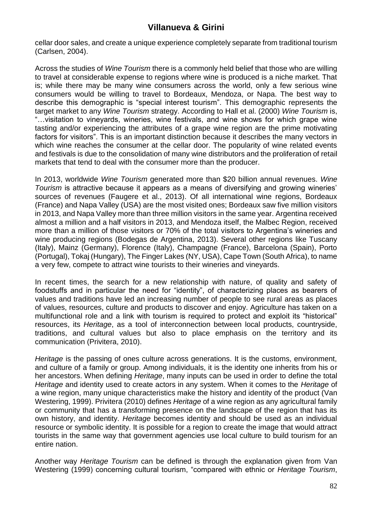cellar door sales, and create a unique experience completely separate from traditional tourism (Carlsen, 2004).

Across the studies of *Wine Tourism* there is a commonly held belief that those who are willing to travel at considerable expense to regions where wine is produced is a niche market. That is; while there may be many wine consumers across the world, only a few serious wine consumers would be willing to travel to Bordeaux, Mendoza, or Napa. The best way to describe this demographic is "special interest tourism". This demographic represents the target market to any *Wine Tourism* strategy. According to Hall et al. (2000) *Wine Tourism* is, "…visitation to vineyards, wineries, wine festivals, and wine shows for which grape wine tasting and/or experiencing the attributes of a grape wine region are the prime motivating factors for visitors". This is an important distinction because it describes the many vectors in which wine reaches the consumer at the cellar door. The popularity of wine related events and festivals is due to the consolidation of many wine distributors and the proliferation of retail markets that tend to deal with the consumer more than the producer.

In 2013, worldwide *Wine Tourism* generated more than \$20 billion annual revenues. *Wine Tourism* is attractive because it appears as a means of diversifying and growing wineries' sources of revenues (Faugere et al., 2013). Of all international wine regions, Bordeaux (France) and Napa Valley (USA) are the most visited ones; Bordeaux saw five million visitors in 2013, and Napa Valley more than three million visitors in the same year. Argentina received almost a million and a half visitors in 2013, and Mendoza itself, the Malbec Region, received more than a million of those visitors or 70% of the total visitors to Argentina's wineries and wine producing regions (Bodegas de Argentina, 2013). Several other regions like Tuscany (Italy), Mainz (Germany), Florence (Italy), Champagne (France), Barcelona (Spain), Porto (Portugal), Tokaj (Hungary), The Finger Lakes (NY, USA), Cape Town (South Africa), to name a very few, compete to attract wine tourists to their wineries and vineyards.

In recent times, the search for a new relationship with nature, of quality and safety of foodstuffs and in particular the need for "identity", of characterizing places as bearers of values and traditions have led an increasing number of people to see rural areas as places of values, resources, culture and products to discover and enjoy. Agriculture has taken on a multifunctional role and a link with tourism is required to protect and exploit its "historical" resources, its *Heritage*, as a tool of interconnection between local products, countryside, traditions, and cultural values but also to place emphasis on the territory and its communication (Privitera, 2010).

*Heritage* is the passing of ones culture across generations. It is the customs, environment, and culture of a family or group. Among individuals, it is the identity one inherits from his or her ancestors. When defining *Heritage*, many inputs can be used in order to define the total *Heritage* and identity used to create actors in any system. When it comes to the *Heritage* of a wine region, many unique characteristics make the history and identity of the product (Van Westering, 1999). Privitera (2010) defines *Heritage* of a wine region as any agricultural family or community that has a transforming presence on the landscape of the region that has its own history, and identity. *Heritage* becomes identity and should be used as an individual resource or symbolic identity. It is possible for a region to create the image that would attract tourists in the same way that government agencies use local culture to build tourism for an entire nation.

Another way *Heritage Tourism* can be defined is through the explanation given from Van Westering (1999) concerning cultural tourism, "compared with ethnic or *Heritage Tourism*,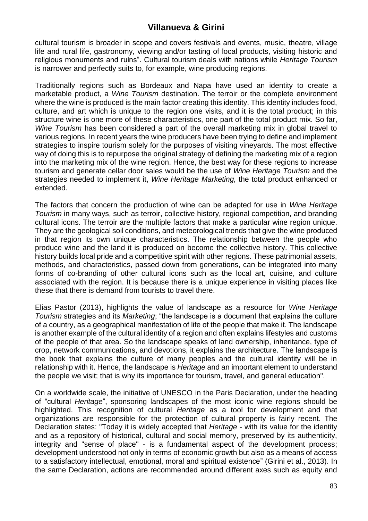cultural tourism is broader in scope and covers festivals and events, music, theatre, village life and rural life, gastronomy, viewing and/or tasting of local products, visiting historic and religious monuments and ruins". Cultural tourism deals with nations while *Heritage Tourism* is narrower and perfectly suits to, for example, wine producing regions.

Traditionally regions such as Bordeaux and Napa have used an identity to create a marketable product, a *Wine Tourism* destination. The terroir or the complete environment where the wine is produced is the main factor creating this identity. This identity includes food, culture, and art which is unique to the region one visits, and it is the total product; in this structure wine is one more of these characteristics, one part of the total product mix. So far, *Wine Tourism* has been considered a part of the overall marketing mix in global travel to various regions. In recent years the wine producers have been trying to define and implement strategies to inspire tourism solely for the purposes of visiting vineyards. The most effective way of doing this is to repurpose the original strategy of defining the marketing mix of a region into the marketing mix of the wine region. Hence, the best way for these regions to increase tourism and generate cellar door sales would be the use of *Wine Heritage Tourism* and the strategies needed to implement it, *Wine Heritage Marketing,* the total product enhanced or extended.

The factors that concern the production of wine can be adapted for use in *Wine Heritage Tourism* in many ways, such as terroir, collective history, regional competition, and branding cultural icons. The terroir are the multiple factors that make a particular wine region unique. They are the geological soil conditions, and meteorological trends that give the wine produced in that region its own unique characteristics. The relationship between the people who produce wine and the land it is produced on become the collective history. This collective history builds local pride and a competitive spirit with other regions. These patrimonial assets, methods, and characteristics, passed down from generations, can be integrated into many forms of co-branding of other cultural icons such as the local art, cuisine, and culture associated with the region. It is because there is a unique experience in visiting places like these that there is demand from tourists to travel there.

Elias Pastor (2013), highlights the value of landscape as a resource for *Wine Heritage Tourism* strategies and its *Marketing*; "the landscape is a document that explains the culture of a country, as a geographical manifestation of life of the people that make it. The landscape is another example of the cultural identity of a region and often explains lifestyles and customs of the people of that area. So the landscape speaks of land ownership, inheritance, type of crop, network communications, and devotions, it explains the architecture. The landscape is the book that explains the culture of many peoples and the cultural identity will be in relationship with it. Hence, the landscape is *Heritage* and an important element to understand the people we visit; that is why its importance for tourism, travel, and general education".

On a worldwide scale, the initiative of UNESCO in the Paris Declaration, under the heading of "cultural *Heritage*", sponsoring landscapes of the most iconic wine regions should be highlighted. This recognition of cultural *Heritage* as a tool for development and that organizations are responsible for the protection of cultural property is fairly recent. The Declaration states: "Today it is widely accepted that *Heritage* - with its value for the identity and as a repository of historical, cultural and social memory, preserved by its authenticity, integrity and "sense of place" - is a fundamental aspect of the development process; development understood not only in terms of economic growth but also as a means of access to a satisfactory intellectual, emotional, moral and spiritual existence" (Girini et al., 2013). In the same Declaration, actions are recommended around different axes such as equity and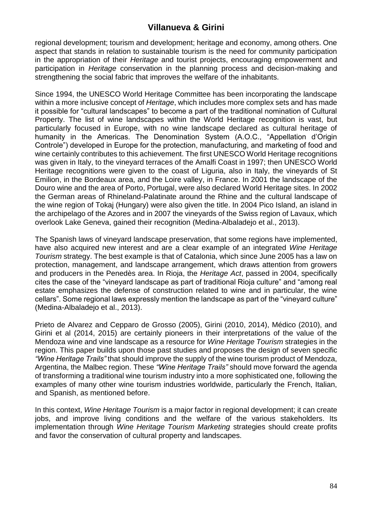regional development; tourism and development; heritage and economy, among others. One aspect that stands in relation to sustainable tourism is the need for community participation in the appropriation of their *Heritage* and tourist projects, encouraging empowerment and participation in *Heritage* conservation in the planning process and decision-making and strengthening the social fabric that improves the welfare of the inhabitants.

Since 1994, the UNESCO World Heritage Committee has been incorporating the landscape within a more inclusive concept of *Heritage*, which includes more complex sets and has made it possible for "cultural landscapes" to become a part of the traditional nomination of Cultural Property. The list of wine landscapes within the World Heritage recognition is vast, but particularly focused in Europe, with no wine landscape declared as cultural heritage of humanity in the Americas. The Denomination System (A.O.C., "Appellation d'Origin Controle") developed in Europe for the protection, manufacturing, and marketing of food and wine certainly contributes to this achievement. The first UNESCO World Heritage recognitions was given in Italy, to the vineyard terraces of the Amalfi Coast in 1997; then UNESCO World Heritage recognitions were given to the coast of Liguria, also in Italy, the vineyards of St Emilion, in the Bordeaux area, and the Loire valley, in France. In 2001 the landscape of the Douro wine and the area of Porto, Portugal, were also declared World Heritage sites. In 2002 the German areas of Rhineland-Palatinate around the Rhine and the cultural landscape of the wine region of Tokaj (Hungary) were also given the title. In 2004 Pico Island, an island in the archipelago of the Azores and in 2007 the vineyards of the Swiss region of Lavaux, which overlook Lake Geneva, gained their recognition (Medina-Albaladejo et al., 2013).

The Spanish laws of vineyard landscape preservation, that some regions have implemented, have also acquired new interest and are a clear example of an integrated *Wine Heritage Tourism* strategy. The best example is that of Catalonia, which since June 2005 has a law on protection, management, and landscape arrangement, which draws attention from growers and producers in the Penedès area. In Rioja, the *Heritage Act*, passed in 2004, specifically cites the case of the "vineyard landscape as part of traditional Rioja culture" and "among real estate emphasizes the defense of construction related to wine and in particular, the wine cellars". Some regional laws expressly mention the landscape as part of the "vineyard culture" (Medina-Albaladejo et al., 2013).

Prieto de Alvarez and Cepparo de Grosso (2005), Girini (2010, 2014), Médico (2010), and Girini et al (2014, 2015) are certainly pioneers in their interpretations of the value of the Mendoza wine and vine landscape as a resource for *Wine Heritage Tourism* strategies in the region. This paper builds upon those past studies and proposes the design of seven specific *"Wine Heritage Trails"* that should improve the supply of the wine tourism product of Mendoza, Argentina, the Malbec region. These *"Wine Heritage Trails"* should move forward the agenda of transforming a traditional wine tourism industry into a more sophisticated one, following the examples of many other wine tourism industries worldwide, particularly the French, Italian, and Spanish, as mentioned before.

In this context, *Wine Heritage Tourism* is a major factor in regional development; it can create jobs, and improve living conditions and the welfare of the various stakeholders. Its implementation through *Wine Heritage Tourism Marketing* strategies should create profits and favor the conservation of cultural property and landscapes.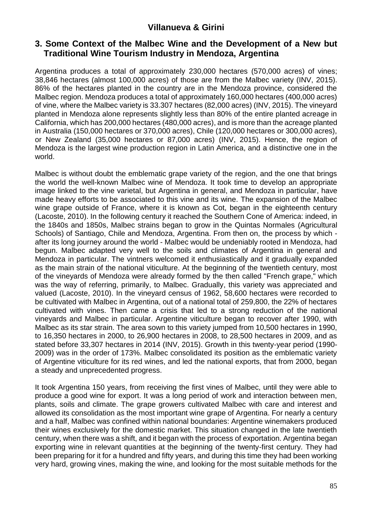### **3. Some Context of the Malbec Wine and the Development of a New but Traditional Wine Tourism Industry in Mendoza, Argentina**

Argentina produces a total of approximately 230,000 hectares (570,000 acres) of vines; 38,846 hectares (almost 100,000 acres) of those are from the Malbec variety (INV, 2015). 86% of the hectares planted in the country are in the Mendoza province, considered the Malbec region. Mendoza produces a total of approximately 160,000 hectares (400,000 acres) of vine, where the Malbec variety is 33.307 hectares (82,000 acres) (INV, 2015). The vineyard planted in Mendoza alone represents slightly less than 80% of the entire planted acreage in California, which has 200,000 hectares (480,000 acres), and is more than the acreage planted in Australia (150,000 hectares or 370,000 acres), Chile (120,000 hectares or 300,000 acres), or New Zealand (35,000 hectares or 87,000 acres) (INV, 2015). Hence, the region of Mendoza is the largest wine production region in Latin America, and a distinctive one in the world.

Malbec is without doubt the emblematic grape variety of the region, and the one that brings the world the well-known Malbec wine of Mendoza. It took time to develop an appropriate image linked to the vine varietal, but Argentina in general, and Mendoza in particular, have made heavy efforts to be associated to this vine and its wine. The expansion of the Malbec wine grape outside of France, where it is known as Cot, began in the eighteenth century (Lacoste, 2010). In the following century it reached the Southern Cone of America: indeed, in the 1840s and 1850s, Malbec strains began to grow in the Quintas Normales (Agricultural Schools) of Santiago, Chile and Mendoza, Argentina. From then on, the process by which after its long journey around the world - Malbec would be undeniably rooted in Mendoza, had begun. Malbec adapted very well to the soils and climates of Argentina in general and Mendoza in particular. The vintners welcomed it enthusiastically and it gradually expanded as the main strain of the national viticulture. At the beginning of the twentieth century, most of the vineyards of Mendoza were already formed by the then called "French grape," which was the way of referring, primarily, to Malbec. Gradually, this variety was appreciated and valued (Lacoste, 2010). In the vineyard census of 1962, 58,600 hectares were recorded to be cultivated with Malbec in Argentina, out of a national total of 259,800, the 22% of hectares cultivated with vines. Then came a crisis that led to a strong reduction of the national vineyards and Malbec in particular. Argentine viticulture began to recover after 1990, with Malbec as its star strain. The area sown to this variety jumped from 10,500 hectares in 1990, to 16,350 hectares in 2000, to 26,900 hectares in 2008, to 28,500 hectares in 2009, and as stated before 33,307 hectares in 2014 (INV, 2015). Growth in this twenty-year period (1990- 2009) was in the order of 173%. Malbec consolidated its position as the emblematic variety of Argentine viticulture for its red wines, and led the national exports, that from 2000, began a steady and unprecedented progress.

It took Argentina 150 years, from receiving the first vines of Malbec, until they were able to produce a good wine for export. It was a long period of work and interaction between men, plants, soils and climate. The grape growers cultivated Malbec with care and interest and allowed its consolidation as the most important wine grape of Argentina. For nearly a century and a half, Malbec was confined within national boundaries: Argentine winemakers produced their wines exclusively for the domestic market. This situation changed in the late twentieth century, when there was a shift, and it began with the process of exportation. Argentina began exporting wine in relevant quantities at the beginning of the twenty-first century. They had been preparing for it for a hundred and fifty years, and during this time they had been working very hard, growing vines, making the wine, and looking for the most suitable methods for the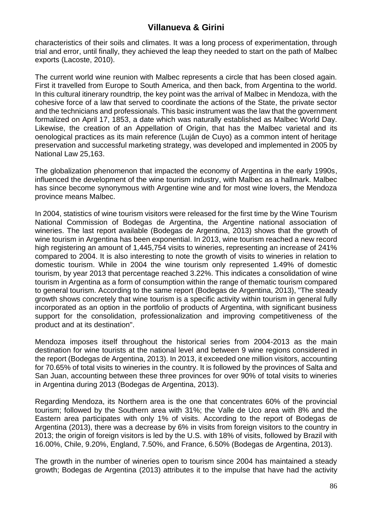characteristics of their soils and climates. It was a long process of experimentation, through trial and error, until finally, they achieved the leap they needed to start on the path of Malbec exports (Lacoste, 2010).

The current world wine reunion with Malbec represents a circle that has been closed again. First it travelled from Europe to South America, and then back, from Argentina to the world. In this cultural itinerary roundtrip, the key point was the arrival of Malbec in Mendoza, with the cohesive force of a law that served to coordinate the actions of the State, the private sector and the technicians and professionals. This basic instrument was the law that the government formalized on April 17, 1853, a date which was naturally established as Malbec World Day. Likewise, the creation of an Appellation of Origin, that has the Malbec varietal and its oenological practices as its main reference (Luján de Cuyo) as a common intent of heritage preservation and successful marketing strategy, was developed and implemented in 2005 by National Law 25,163.

The globalization phenomenon that impacted the economy of Argentina in the early 1990s, influenced the development of the wine tourism industry, with Malbec as a hallmark. Malbec has since become synonymous with Argentine wine and for most wine lovers, the Mendoza province means Malbec.

In 2004, statistics of wine tourism visitors were released for the first time by the Wine Tourism National Commission of Bodegas de Argentina, the Argentine national association of wineries. The last report available (Bodegas de Argentina, 2013) shows that the growth of wine tourism in Argentina has been exponential. In 2013, wine tourism reached a new record high registering an amount of 1,445,754 visits to wineries, representing an increase of 241% compared to 2004. It is also interesting to note the growth of visits to wineries in relation to domestic tourism. While in 2004 the wine tourism only represented 1.49% of domestic tourism, by year 2013 that percentage reached 3.22%. This indicates a consolidation of wine tourism in Argentina as a form of consumption within the range of thematic tourism compared to general tourism. According to the same report (Bodegas de Argentina, 2013), "The steady growth shows concretely that wine tourism is a specific activity within tourism in general fully incorporated as an option in the portfolio of products of Argentina, with significant business support for the consolidation, professionalization and improving competitiveness of the product and at its destination".

Mendoza imposes itself throughout the historical series from 2004-2013 as the main destination for wine tourists at the national level and between 9 wine regions considered in the report (Bodegas de Argentina, 2013). In 2013, it exceeded one million visitors, accounting for 70.65% of total visits to wineries in the country. It is followed by the provinces of Salta and San Juan, accounting between these three provinces for over 90% of total visits to wineries in Argentina during 2013 (Bodegas de Argentina, 2013).

Regarding Mendoza, its Northern area is the one that concentrates 60% of the provincial tourism; followed by the Southern area with 31%; the Valle de Uco area with 8% and the Eastern area participates with only 1% of visits. According to the report of Bodegas de Argentina (2013), there was a decrease by 6% in visits from foreign visitors to the country in 2013; the origin of foreign visitors is led by the U.S. with 18% of visits, followed by Brazil with 16.00%, Chile, 9.20%, England, 7.50%, and France, 6.50% (Bodegas de Argentina, 2013).

The growth in the number of wineries open to tourism since 2004 has maintained a steady growth; Bodegas de Argentina (2013) attributes it to the impulse that have had the activity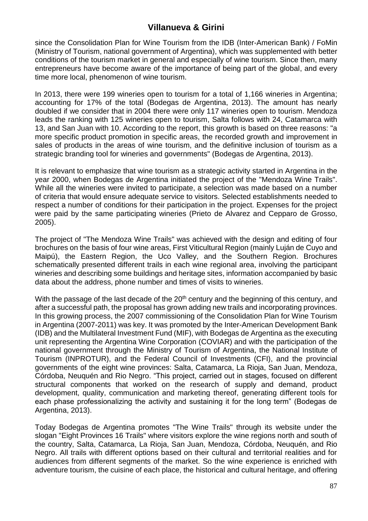since the Consolidation Plan for Wine Tourism from the IDB (Inter-American Bank) / FoMin (Ministry of Tourism, national government of Argentina), which was supplemented with better conditions of the tourism market in general and especially of wine tourism. Since then, many entrepreneurs have become aware of the importance of being part of the global, and every time more local, phenomenon of wine tourism.

In 2013, there were 199 wineries open to tourism for a total of 1,166 wineries in Argentina; accounting for 17% of the total (Bodegas de Argentina, 2013). The amount has nearly doubled if we consider that in 2004 there were only 117 wineries open to tourism. Mendoza leads the ranking with 125 wineries open to tourism, Salta follows with 24, Catamarca with 13, and San Juan with 10. According to the report, this growth is based on three reasons: "a more specific product promotion in specific areas, the recorded growth and improvement in sales of products in the areas of wine tourism, and the definitive inclusion of tourism as a strategic branding tool for wineries and governments" (Bodegas de Argentina, 2013).

It is relevant to emphasize that wine tourism as a strategic activity started in Argentina in the year 2000, when Bodegas de Argentina initiated the project of the "Mendoza Wine Trails". While all the wineries were invited to participate, a selection was made based on a number of criteria that would ensure adequate service to visitors. Selected establishments needed to respect a number of conditions for their participation in the project. Expenses for the project were paid by the same participating wineries (Prieto de Alvarez and Cepparo de Grosso, 2005).

The project of "The Mendoza Wine Trails" was achieved with the design and editing of four brochures on the basis of four wine areas, First Viticultural Region (mainly Luján de Cuyo and Maipú), the Eastern Region, the Uco Valley, and the Southern Region. Brochures schematically presented different trails in each wine regional area, involving the participant wineries and describing some buildings and heritage sites, information accompanied by basic data about the address, phone number and times of visits to wineries.

With the passage of the last decade of the 20<sup>th</sup> century and the beginning of this century, and after a successful path, the proposal has grown adding new trails and incorporating provinces. In this growing process, the 2007 commissioning of the Consolidation Plan for Wine Tourism in Argentina (2007-2011) was key. It was promoted by the Inter-American Development Bank (IDB) and the Multilateral Investment Fund (MIF), with Bodegas de Argentina as the executing unit representing the Argentina Wine Corporation (COVIAR) and with the participation of the national government through the Ministry of Tourism of Argentina, the National Institute of Tourism (INPROTUR), and the Federal Council of Investments (CFI), and the provincial governments of the eight wine provinces: Salta, Catamarca, La Rioja, San Juan, Mendoza, Córdoba, Neuquén and Rio Negro. "This project, carried out in stages, focused on different structural components that worked on the research of supply and demand, product development, quality, communication and marketing thereof, generating different tools for each phase professionalizing the activity and sustaining it for the long term" (Bodegas de Argentina, 2013).

Today Bodegas de Argentina promotes "The Wine Trails" through its website under the slogan "Eight Provinces 16 Trails" where visitors explore the wine regions north and south of the country, Salta, Catamarca, La Rioja, San Juan, Mendoza, Córdoba, Neuquén, and Rio Negro. All trails with different options based on their cultural and territorial realities and for audiences from different segments of the market. So the wine experience is enriched with adventure tourism, the cuisine of each place, the historical and cultural heritage, and offering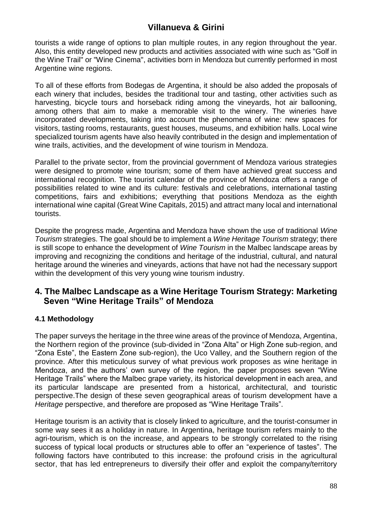tourists a wide range of options to plan multiple routes, in any region throughout the year. Also, this entity developed new products and activities associated with wine such as "Golf in the Wine Trail" or "Wine Cinema", activities born in Mendoza but currently performed in most Argentine wine regions.

To all of these efforts from Bodegas de Argentina, it should be also added the proposals of each winery that includes, besides the traditional tour and tasting, other activities such as harvesting, bicycle tours and horseback riding among the vineyards, hot air ballooning, among others that aim to make a memorable visit to the winery. The wineries have incorporated developments, taking into account the phenomena of wine: new spaces for visitors, tasting rooms, restaurants, guest houses, museums, and exhibition halls. Local wine specialized tourism agents have also heavily contributed in the design and implementation of wine trails, activities, and the development of wine tourism in Mendoza.

Parallel to the private sector, from the provincial government of Mendoza various strategies were designed to promote wine tourism; some of them have achieved great success and international recognition. The tourist calendar of the province of Mendoza offers a range of possibilities related to wine and its culture: festivals and celebrations, international tasting competitions, fairs and exhibitions; everything that positions Mendoza as the eighth international wine capital (Great Wine Capitals, 2015) and attract many local and international tourists.

Despite the progress made, Argentina and Mendoza have shown the use of traditional *Wine Tourism* strategies. The goal should be to implement a *Wine Heritage Tourism* strategy; there is still scope to enhance the development of *Wine Tourism* in the Malbec landscape areas by improving and recognizing the conditions and heritage of the industrial, cultural, and natural heritage around the wineries and vineyards, actions that have not had the necessary support within the development of this very young wine tourism industry.

### **4. The Malbec Landscape as a Wine Heritage Tourism Strategy: Marketing Seven "Wine Heritage Trails" of Mendoza**

### **4.1 Methodology**

The paper surveys the heritage in the three wine areas of the province of Mendoza, Argentina, the Northern region of the province (sub-divided in "Zona Alta" or High Zone sub-region, and "Zona Este", the Eastern Zone sub-region), the Uco Valley, and the Southern region of the province. After this meticulous survey of what previous work proposes as wine heritage in Mendoza, and the authors' own survey of the region, the paper proposes seven "Wine Heritage Trails" where the Malbec grape variety, its historical development in each area, and its particular landscape are presented from a historical, architectural, and touristic perspective.The design of these seven geographical areas of tourism development have a *Heritage* perspective, and therefore are proposed as "Wine Heritage Trails".

Heritage tourism is an activity that is closely linked to agriculture, and the tourist-consumer in some way sees it as a holiday in nature. In Argentina, heritage tourism refers mainly to the agri-tourism, which is on the increase, and appears to be strongly correlated to the rising success of typical local products or structures able to offer an "experience of tastes". The following factors have contributed to this increase: the profound crisis in the agricultural sector, that has led entrepreneurs to diversify their offer and exploit the company/territory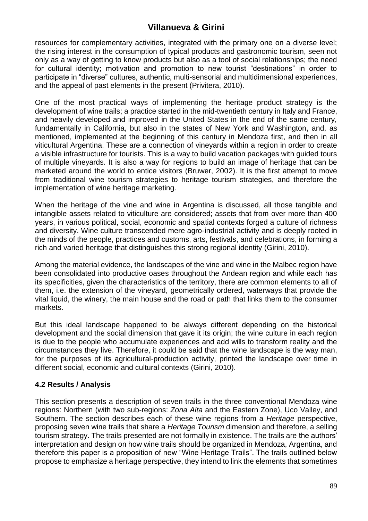resources for complementary activities, integrated with the primary one on a diverse level; the rising interest in the consumption of typical products and gastronomic tourism, seen not only as a way of getting to know products but also as a tool of social relationships; the need for cultural identity; motivation and promotion to new tourist "destinations" in order to participate in "diverse" cultures, authentic, multi-sensorial and multidimensional experiences, and the appeal of past elements in the present (Privitera, 2010).

One of the most practical ways of implementing the heritage product strategy is the development of wine trails; a practice started in the mid-twentieth century in Italy and France, and heavily developed and improved in the United States in the end of the same century, fundamentally in California, but also in the states of New York and Washington, and, as mentioned, implemented at the beginning of this century in Mendoza first, and then in all viticultural Argentina. These are a connection of vineyards within a region in order to create a visible infrastructure for tourists. This is a way to build vacation packages with guided tours of multiple vineyards. It is also a way for regions to build an image of heritage that can be marketed around the world to entice visitors (Bruwer, 2002). It is the first attempt to move from traditional wine tourism strategies to heritage tourism strategies, and therefore the implementation of wine heritage marketing.

When the heritage of the vine and wine in Argentina is discussed, all those tangible and intangible assets related to viticulture are considered; assets that from over more than 400 years, in various political, social, economic and spatial contexts forged a culture of richness and diversity. Wine culture transcended mere agro-industrial activity and is deeply rooted in the minds of the people, practices and customs, arts, festivals, and celebrations, in forming a rich and varied heritage that distinguishes this strong regional identity (Girini, 2010).

Among the material evidence, the landscapes of the vine and wine in the Malbec region have been consolidated into productive oases throughout the Andean region and while each has its specificities, given the characteristics of the territory, there are common elements to all of them, i.e. the extension of the vineyard, geometrically ordered, waterways that provide the vital liquid, the winery, the main house and the road or path that links them to the consumer markets.

But this ideal landscape happened to be always different depending on the historical development and the social dimension that gave it its origin; the wine culture in each region is due to the people who accumulate experiences and add wills to transform reality and the circumstances they live. Therefore, it could be said that the wine landscape is the way man, for the purposes of its agricultural-production activity, printed the landscape over time in different social, economic and cultural contexts (Girini, 2010).

### **4.2 Results / Analysis**

This section presents a description of seven trails in the three conventional Mendoza wine regions: Northern (with two sub-regions: *Zona Alta* and the Eastern Zone), Uco Valley, and Southern. The section describes each of these wine regions from a *Heritage* perspective, proposing seven wine trails that share a *Heritage Tourism* dimension and therefore, a selling tourism strategy. The trails presented are not formally in existence. The trails are the authors' interpretation and design on how wine trails should be organized in Mendoza, Argentina, and therefore this paper is a proposition of new "Wine Heritage Trails". The trails outlined below propose to emphasize a heritage perspective, they intend to link the elements that sometimes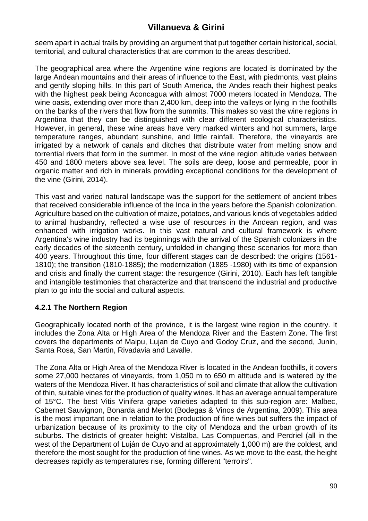seem apart in actual trails by providing an argument that put together certain historical, social, territorial, and cultural characteristics that are common to the areas described.

The geographical area where the Argentine wine regions are located is dominated by the large Andean mountains and their areas of influence to the East, with piedmonts, vast plains and gently sloping hills. In this part of South America, the Andes reach their highest peaks with the highest peak being Aconcagua with almost 7000 meters located in Mendoza. The wine oasis, extending over more than 2,400 km, deep into the valleys or lying in the foothills on the banks of the rivers that flow from the summits. This makes so vast the wine regions in Argentina that they can be distinguished with clear different ecological characteristics. However, in general, these wine areas have very marked winters and hot summers, large temperature ranges, abundant sunshine, and little rainfall. Therefore, the vineyards are irrigated by a network of canals and ditches that distribute water from melting snow and torrential rivers that form in the summer. In most of the wine region altitude varies between 450 and 1800 meters above sea level. The soils are deep, loose and permeable, poor in organic matter and rich in minerals providing exceptional conditions for the development of the vine (Girini, 2014).

This vast and varied natural landscape was the support for the settlement of ancient tribes that received considerable influence of the Inca in the years before the Spanish colonization. Agriculture based on the cultivation of maize, potatoes, and various kinds of vegetables added to animal husbandry, reflected a wise use of resources in the Andean region, and was enhanced with irrigation works. In this vast natural and cultural framework is where Argentina's wine industry had its beginnings with the arrival of the Spanish colonizers in the early decades of the sixteenth century, unfolded in changing these scenarios for more than 400 years. Throughout this time, four different stages can de described: the origins (1561- 1810); the transition (1810-1885); the modernization (1885 -1980) with its time of expansion and crisis and finally the current stage: the resurgence (Girini, 2010). Each has left tangible and intangible testimonies that characterize and that transcend the industrial and productive plan to go into the social and cultural aspects.

### **4.2.1 The Northern Region**

Geographically located north of the province, it is the largest wine region in the country. It includes the Zona Alta or High Area of the Mendoza River and the Eastern Zone. The first covers the departments of Maipu, Lujan de Cuyo and Godoy Cruz, and the second, Junin, Santa Rosa, San Martin, Rivadavia and Lavalle.

The Zona Alta or High Area of the Mendoza River is located in the Andean foothills, it covers some 27,000 hectares of vineyards, from 1,050 m to 650 m altitude and is watered by the waters of the Mendoza River. It has characteristics of soil and climate that allow the cultivation of thin, suitable vines for the production of quality wines. It has an average annual temperature of 15°C. The best Vitis Vinifera grape varieties adapted to this sub-region are: Malbec, Cabernet Sauvignon, Bonarda and Merlot (Bodegas & Vinos de Argentina, 2009). This area is the most important one in relation to the production of fine wines but suffers the impact of urbanization because of its proximity to the city of Mendoza and the urban growth of its suburbs. The districts of greater height: Vistalba, Las Compuertas, and Perdriel (all in the west of the Department of Luján de Cuyo and at approximately 1,000 m) are the coldest, and therefore the most sought for the production of fine wines. As we move to the east, the height decreases rapidly as temperatures rise, forming different "terroirs".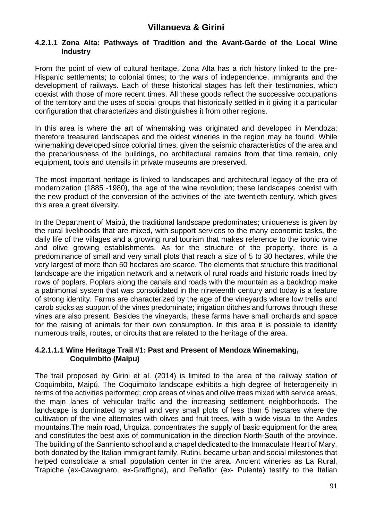#### **4.2.1.1 Zona Alta: Pathways of Tradition and the Avant-Garde of the Local Wine Industry**

From the point of view of cultural heritage, Zona Alta has a rich history linked to the pre-Hispanic settlements; to colonial times; to the wars of independence, immigrants and the development of railways. Each of these historical stages has left their testimonies, which coexist with those of more recent times. All these goods reflect the successive occupations of the territory and the uses of social groups that historically settled in it giving it a particular configuration that characterizes and distinguishes it from other regions.

In this area is where the art of winemaking was originated and developed in Mendoza; therefore treasured landscapes and the oldest wineries in the region may be found. While winemaking developed since colonial times, given the seismic characteristics of the area and the precariousness of the buildings, no architectural remains from that time remain, only equipment, tools and utensils in private museums are preserved.

The most important heritage is linked to landscapes and architectural legacy of the era of modernization (1885 -1980), the age of the wine revolution; these landscapes coexist with the new product of the conversion of the activities of the late twentieth century, which gives this area a great diversity.

In the Department of Maipú, the traditional landscape predominates; uniqueness is given by the rural livelihoods that are mixed, with support services to the many economic tasks, the daily life of the villages and a growing rural tourism that makes reference to the iconic wine and olive growing establishments. As for the structure of the property, there is a predominance of small and very small plots that reach a size of 5 to 30 hectares, while the very largest of more than 50 hectares are scarce. The elements that structure this traditional landscape are the irrigation network and a network of rural roads and historic roads lined by rows of poplars. Poplars along the canals and roads with the mountain as a backdrop make a patrimonial system that was consolidated in the nineteenth century and today is a feature of strong identity. Farms are characterized by the age of the vineyards where low trellis and carob sticks as support of the vines predominate; irrigation ditches and furrows through these vines are also present. Besides the vineyards, these farms have small orchards and space for the raising of animals for their own consumption. In this area it is possible to identify numerous trails, routes, or circuits that are related to the heritage of the area.

#### **4.2.1.1.1 Wine Heritage Trail #1: Past and Present of Mendoza Winemaking, Coquimbito (Maipu)**

The trail proposed by Girini et al. (2014) is limited to the area of the railway station of Coquimbito, Maipú. The Coquimbito landscape exhibits a high degree of heterogeneity in terms of the activities performed; crop areas of vines and olive trees mixed with service areas, the main lanes of vehicular traffic and the increasing settlement neighborhoods. The landscape is dominated by small and very small plots of less than 5 hectares where the cultivation of the vine alternates with olives and fruit trees, with a wide visual to the Andes mountains.The main road, Urquiza, concentrates the supply of basic equipment for the area and constitutes the best axis of communication in the direction North-South of the province. The building of the Sarmiento school and a chapel dedicated to the Immaculate Heart of Mary, both donated by the Italian immigrant family, Rutini, became urban and social milestones that helped consolidate a small population center in the area. Ancient wineries as La Rural, Trapiche (ex-Cavagnaro, ex-Graffigna), and Peñaflor (ex- Pulenta) testify to the Italian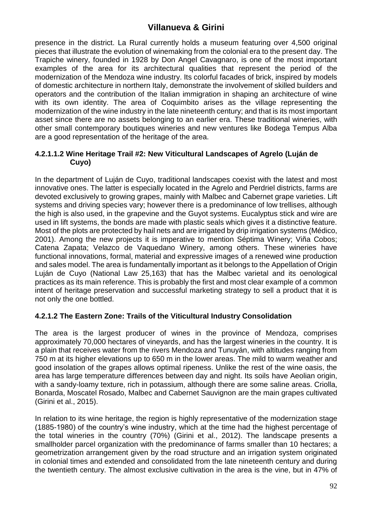presence in the district. La Rural currently holds a museum featuring over 4,500 original pieces that illustrate the evolution of winemaking from the colonial era to the present day. The Trapiche winery, founded in 1928 by Don Angel Cavagnaro, is one of the most important examples of the area for its architectural qualities that represent the period of the modernization of the Mendoza wine industry. Its colorful facades of brick, inspired by models of domestic architecture in northern Italy, demonstrate the involvement of skilled builders and operators and the contribution of the Italian immigration in shaping an architecture of wine with its own identity. The area of Coquimbito arises as the village representing the modernization of the wine industry in the late nineteenth century; and that is its most important asset since there are no assets belonging to an earlier era. These traditional wineries, with other small contemporary boutiques wineries and new ventures like Bodega Tempus Alba are a good representation of the heritage of the area.

### **4.2.1.1.2 Wine Heritage Trail #2: New Viticultural Landscapes of Agrelo (Luján de Cuyo)**

In the department of Luján de Cuyo, traditional landscapes coexist with the latest and most innovative ones. The latter is especially located in the Agrelo and Perdriel districts, farms are devoted exclusively to growing grapes, mainly with Malbec and Cabernet grape varieties. Lift systems and driving species vary; however there is a predominance of low trellises, although the high is also used, in the grapevine and the Guyot systems. Eucalyptus stick and wire are used in lift systems, the bonds are made with plastic seals which gives it a distinctive feature. Most of the plots are protected by hail nets and are irrigated by drip irrigation systems (Médico, 2001). Among the new projects it is imperative to mention Séptima Winery; Viña Cobos; Catena Zapata; Velazco de Vaquedano Winery, among others. These wineries have functional innovations, formal, material and expressive images of a renewed wine production and sales model. The area is fundamentally important as it belongs to the Appellation of Origin Luján de Cuyo (National Law 25,163) that has the Malbec varietal and its oenological practices as its main reference. This is probably the first and most clear example of a common intent of heritage preservation and successful marketing strategy to sell a product that it is not only the one bottled.

### **4.2.1.2 The Eastern Zone: Trails of the Viticultural Industry Consolidation**

The area is the largest producer of wines in the province of Mendoza, comprises approximately 70,000 hectares of vineyards, and has the largest wineries in the country. It is a plain that receives water from the rivers Mendoza and Tunuyán, with altitudes ranging from 750 m at its higher elevations up to 650 m in the lower areas. The mild to warm weather and good insolation of the grapes allows optimal ripeness. Unlike the rest of the wine oasis, the area has large temperature differences between day and night. Its soils have Aeolian origin, with a sandy-loamy texture, rich in potassium, although there are some saline areas. Criolla, Bonarda, Moscatel Rosado, Malbec and Cabernet Sauvignon are the main grapes cultivated (Girini et al., 2015).

In relation to its wine heritage, the region is highly representative of the modernization stage (1885-1980) of the country's wine industry, which at the time had the highest percentage of the total wineries in the country (70%) (Girini et al., 2012). The landscape presents a smallholder parcel organization with the predominance of farms smaller than 10 hectares; a geometrization arrangement given by the road structure and an irrigation system originated in colonial times and extended and consolidated from the late nineteenth century and during the twentieth century. The almost exclusive cultivation in the area is the vine, but in 47% of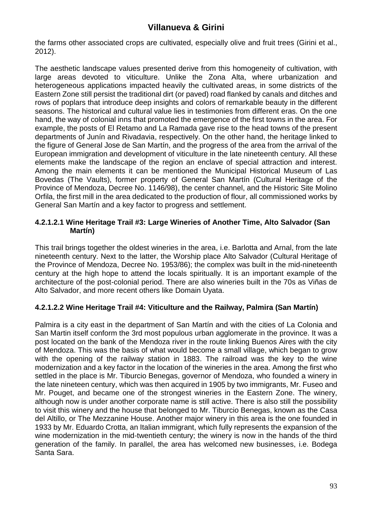the farms other associated crops are cultivated, especially olive and fruit trees (Girini et al., 2012).

The aesthetic landscape values presented derive from this homogeneity of cultivation, with large areas devoted to viticulture. Unlike the Zona Alta, where urbanization and heterogeneous applications impacted heavily the cultivated areas, in some districts of the Eastern Zone still persist the traditional dirt (or paved) road flanked by canals and ditches and rows of poplars that introduce deep insights and colors of remarkable beauty in the different seasons. The historical and cultural value lies in testimonies from different eras. On the one hand, the way of colonial inns that promoted the emergence of the first towns in the area. For example, the posts of El Retamo and La Ramada gave rise to the head towns of the present departments of Junín and Rivadavia, respectively. On the other hand, the heritage linked to the figure of General Jose de San Martín, and the progress of the area from the arrival of the European immigration and development of viticulture in the late nineteenth century. All these elements make the landscape of the region an enclave of special attraction and interest. Among the main elements it can be mentioned the Municipal Historical Museum of Las Bovedas (The Vaults), former property of General San Martín (Cultural Heritage of the Province of Mendoza, Decree No. 1146/98), the center channel, and the Historic Site Molino Orfila, the first mill in the area dedicated to the production of flour, all commissioned works by General San Martín and a key factor to progress and settlement.

### **4.2.1.2.1 Wine Heritage Trail #3: Large Wineries of Another Time, Alto Salvador (San Martín)**

This trail brings together the oldest wineries in the area, i.e. Barlotta and Arnal, from the late nineteenth century. Next to the latter, the Worship place Alto Salvador (Cultural Heritage of the Province of Mendoza, Decree No. 1953/86); the complex was built in the mid-nineteenth century at the high hope to attend the locals spiritually. It is an important example of the architecture of the post-colonial period. There are also wineries built in the 70s as Viñas de Alto Salvador, and more recent others like Domain Uyata.

### **4.2.1.2.2 Wine Heritage Trail #4: Viticulture and the Railway, Palmira (San Martín)**

Palmira is a city east in the department of San Martín and with the cities of La Colonia and San Martin itself conform the 3rd most populous urban agglomerate in the province. It was a post located on the bank of the Mendoza river in the route linking Buenos Aires with the city of Mendoza. This was the basis of what would become a small village, which began to grow with the opening of the railway station in 1883. The railroad was the key to the wine modernization and a key factor in the location of the wineries in the area. Among the first who settled in the place is Mr. Tiburcio Benegas, governor of Mendoza, who founded a winery in the late nineteen century, which was then acquired in 1905 by two immigrants, Mr. Fuseo and Mr. Pouget, and became one of the strongest wineries in the Eastern Zone. The winery, although now is under another corporate name is still active. There is also still the possibility to visit this winery and the house that belonged to Mr. Tiburcio Benegas, known as the Casa del Altillo, or The Mezzanine House. Another major winery in this area is the one founded in 1933 by Mr. Eduardo Crotta, an Italian immigrant, which fully represents the expansion of the wine modernization in the mid-twentieth century; the winery is now in the hands of the third generation of the family. In parallel, the area has welcomed new businesses, i.e. Bodega Santa Sara.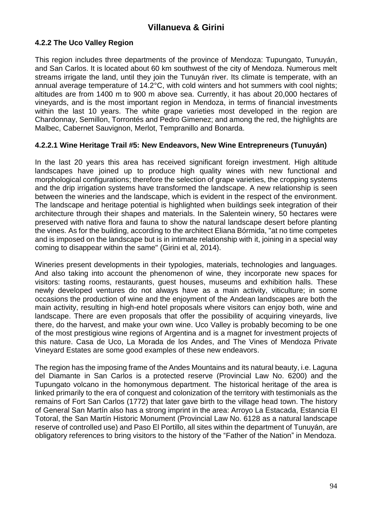### **4.2.2 The Uco Valley Region**

This region includes three departments of the province of Mendoza: Tupungato, Tunuyán, and San Carlos. It is located about 60 km southwest of the city of Mendoza. Numerous melt streams irrigate the land, until they join the Tunuyán river. Its climate is temperate, with an annual average temperature of 14.2°C, with cold winters and hot summers with cool nights; altitudes are from 1400 m to 900 m above sea. Currently, it has about 20,000 hectares of vineyards, and is the most important region in Mendoza, in terms of financial investments within the last 10 years. The white grape varieties most developed in the region are Chardonnay, Semillon, Torrontés and Pedro Gimenez; and among the red, the highlights are Malbec, Cabernet Sauvignon, Merlot, Tempranillo and Bonarda.

#### **4.2.2.1 Wine Heritage Trail #5: New Endeavors, New Wine Entrepreneurs (Tunuyán)**

In the last 20 years this area has received significant foreign investment. High altitude landscapes have joined up to produce high quality wines with new functional and morphological configurations; therefore the selection of grape varieties, the cropping systems and the drip irrigation systems have transformed the landscape. A new relationship is seen between the wineries and the landscape, which is evident in the respect of the environment. The landscape and heritage potential is highlighted when buildings seek integration of their architecture through their shapes and materials. In the Salentein winery, 50 hectares were preserved with native flora and fauna to show the natural landscape desert before planting the vines. As for the building, according to the architect Eliana Bórmida, "at no time competes and is imposed on the landscape but is in intimate relationship with it, joining in a special way coming to disappear within the same" (Girini et al, 2014).

Wineries present developments in their typologies, materials, technologies and languages. And also taking into account the phenomenon of wine, they incorporate new spaces for visitors: tasting rooms, restaurants, guest houses, museums and exhibition halls. These newly developed ventures do not always have as a main activity, viticulture; in some occasions the production of wine and the enjoyment of the Andean landscapes are both the main activity, resulting in high-end hotel proposals where visitors can enjoy both, wine and landscape. There are even proposals that offer the possibility of acquiring vineyards, live there, do the harvest, and make your own wine. Uco Valley is probably becoming to be one of the most prestigious wine regions of Argentina and is a magnet for investment projects of this nature. Casa de Uco, La Morada de los Andes, and The Vines of Mendoza Private Vineyard Estates are some good examples of these new endeavors.

The region has the imposing frame of the Andes Mountains and its natural beauty, i.e. Laguna del Diamante in San Carlos is a protected reserve (Provincial Law No. 6200) and the Tupungato volcano in the homonymous department. The historical heritage of the area is linked primarily to the era of conquest and colonization of the territory with testimonials as the remains of Fort San Carlos (1772) that later gave birth to the village head town. The history of General San Martín also has a strong imprint in the area: Arroyo La Estacada, Estancia El Totoral, the San Martín Historic Monument (Provincial Law No. 6128 as a natural landscape reserve of controlled use) and Paso El Portillo, all sites within the department of Tunuyán, are obligatory references to bring visitors to the history of the "Father of the Nation" in Mendoza.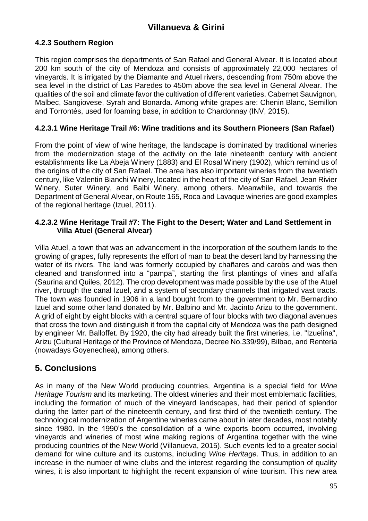### **4.2.3 Southern Region**

This region comprises the departments of San Rafael and General Alvear. It is located about 200 km south of the city of Mendoza and consists of approximately 22,000 hectares of vineyards. It is irrigated by the Diamante and Atuel rivers, descending from 750m above the sea level in the district of Las Paredes to 450m above the sea level in General Alvear. The qualities of the soil and climate favor the cultivation of different varieties. Cabernet Sauvignon, Malbec, Sangiovese, Syrah and Bonarda. Among white grapes are: Chenin Blanc, Semillon and Torrontés, used for foaming base, in addition to Chardonnay (INV, 2015).

### **4.2.3.1 Wine Heritage Trail #6: Wine traditions and its Southern Pioneers (San Rafael)**

From the point of view of wine heritage, the landscape is dominated by traditional wineries from the modernization stage of the activity on the late nineteenth century with ancient establishments like La Abeja Winery (1883) and El Rosal Winery (1902), which remind us of the origins of the city of San Rafael. The area has also important wineries from the twentieth century, like Valentin Bianchi Winery, located in the heart of the city of San Rafael, Jean Rivier Winery, Suter Winery, and Balbi Winery, among others. Meanwhile, and towards the Department of General Alvear, on Route 165, Roca and Lavaque wineries are good examples of the regional heritage (Izuel, 2011).

### **4.2.3.2 Wine Heritage Trail #7: The Fight to the Desert; Water and Land Settlement in Villa Atuel (General Alvear)**

Villa Atuel, a town that was an advancement in the incorporation of the southern lands to the growing of grapes, fully represents the effort of man to beat the desert land by harnessing the water of its rivers. The land was formerly occupied by chañares and carobs and was then cleaned and transformed into a "pampa", starting the first plantings of vines and alfalfa (Saurina and Quiles, 2012). The crop development was made possible by the use of the Atuel river, through the canal Izuel, and a system of secondary channels that irrigated vast tracts. The town was founded in 1906 in a land bought from to the government to Mr. Bernardino Izuel and some other land donated by Mr. Balbino and Mr. Jacinto Arizu to the government. A grid of eight by eight blocks with a central square of four blocks with two diagonal avenues that cross the town and distinguish it from the capital city of Mendoza was the path designed by engineer Mr. Balloffet. By 1920, the city had already built the first wineries, i.e. "Izuelina", Arizu (Cultural Heritage of the Province of Mendoza, Decree No.339/99), Bilbao, and Renteria (nowadays Goyenechea), among others.

# **5. Conclusions**

As in many of the New World producing countries, Argentina is a special field for *Wine Heritage Tourism* and its marketing. The oldest wineries and their most emblematic facilities, including the formation of much of the vineyard landscapes, had their period of splendor during the latter part of the nineteenth century, and first third of the twentieth century. The technological modernization of Argentine wineries came about in later decades, most notably since 1980. In the 1990's the consolidation of a wine exports boom occurred, involving vineyards and wineries of most wine making regions of Argentina together with the wine producing countries of the New World (Villanueva, 2015). Such events led to a greater social demand for wine culture and its customs, including *Wine Heritage*. Thus, in addition to an increase in the number of wine clubs and the interest regarding the consumption of quality wines, it is also important to highlight the recent expansion of wine tourism. This new area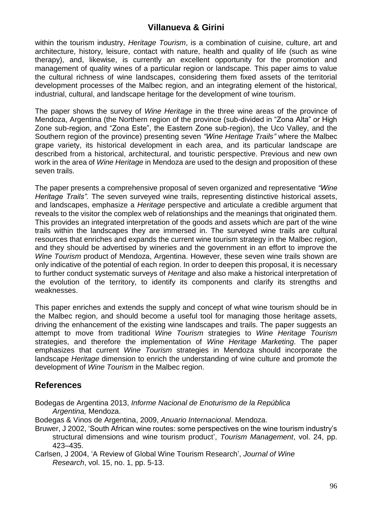within the tourism industry, *Heritage Tourism*, is a combination of cuisine, culture, art and architecture, history, leisure, contact with nature, health and quality of life (such as wine therapy), and, likewise, is currently an excellent opportunity for the promotion and management of quality wines of a particular region or landscape. This paper aims to value the cultural richness of wine landscapes, considering them fixed assets of the territorial development processes of the Malbec region, and an integrating element of the historical, industrial, cultural, and landscape heritage for the development of wine tourism.

The paper shows the survey of *Wine Heritage* in the three wine areas of the province of Mendoza, Argentina (the Northern region of the province (sub-divided in "Zona Alta" or High Zone sub-region, and "Zona Este", the Eastern Zone sub-region), the Uco Valley, and the Southern region of the province) presenting seven *"Wine Heritage Trails"* where the Malbec grape variety, its historical development in each area, and its particular landscape are described from a historical, architectural, and touristic perspective. Previous and new own work in the area of *Wine Heritage* in Mendoza are used to the design and proposition of these seven trails.

The paper presents a comprehensive proposal of seven organized and representative *"Wine Heritage Trails".* The seven surveyed wine trails, representing distinctive historical assets, and landscapes, emphasize a *Heritage* perspective and articulate a credible argument that reveals to the visitor the complex web of relationships and the meanings that originated them. This provides an integrated interpretation of the goods and assets which are part of the wine trails within the landscapes they are immersed in. The surveyed wine trails are cultural resources that enriches and expands the current wine tourism strategy in the Malbec region, and they should be advertised by wineries and the government in an effort to improve the *Wine Tourism* product of Mendoza, Argentina. However, these seven wine trails shown are only indicative of the potential of each region. In order to deepen this proposal, it is necessary to further conduct systematic surveys of *Heritage* and also make a historical interpretation of the evolution of the territory, to identify its components and clarify its strengths and weaknesses.

This paper enriches and extends the supply and concept of what wine tourism should be in the Malbec region, and should become a useful tool for managing those heritage assets, driving the enhancement of the existing wine landscapes and trails. The paper suggests an attempt to move from traditional *Wine Tourism* strategies to *Wine Heritage Tourism* strategies, and therefore the implementation of *Wine Heritage Marketing*. The paper emphasizes that current *Wine Tourism* strategies in Mendoza should incorporate the landscape *Heritage* dimension to enrich the understanding of wine culture and promote the development of *Wine Tourism* in the Malbec region.

# **References**

- Bodegas de Argentina 2013, *Informe Nacional de Enoturismo de la República Argentina,* Mendoza.
- Bodegas & Vinos de Argentina, 2009, *Anuario Internacional*. Mendoza.
- Bruwer, J 2002, 'South African wine routes: some perspectives on the wine tourism industry's structural dimensions and wine tourism product', *Tourism Management*, vol. 24, pp. 423–435.
- Carlsen, J 2004, 'A Review of Global Wine Tourism Research', *Journal of Wine Research*, vol. 15, no. 1, pp. 5-13.